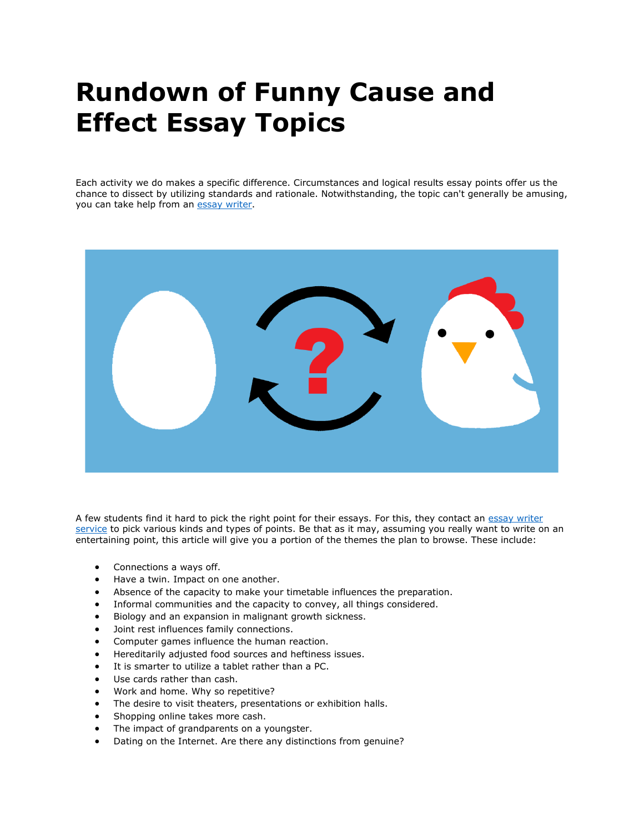## **Rundown of Funny Cause and Effect Essay Topics**

Each activity we do makes a specific difference. Circumstances and logical results essay points offer us the chance to dissect by utilizing standards and rationale. Notwithstanding, the topic can't generally be amusing, you can take help from an [essay writer.](https://youressaywriter.net/)



A few students find it hard to pick the right point for their essays. For this, they contact an essay writer [service](https://youressaywriter.net/) to pick various kinds and types of points. Be that as it may, assuming you really want to write on an entertaining point, this article will give you a portion of the themes the plan to browse. These include:

- Connections a ways off.
- Have a twin. Impact on one another.
- Absence of the capacity to make your timetable influences the preparation.
- Informal communities and the capacity to convey, all things considered.
- Biology and an expansion in malignant growth sickness.
- Joint rest influences family connections.
- Computer games influence the human reaction.
- Hereditarily adjusted food sources and heftiness issues.
- It is smarter to utilize a tablet rather than a PC.
- Use cards rather than cash.
- Work and home. Why so repetitive?
- The desire to visit theaters, presentations or exhibition halls.
- Shopping online takes more cash.
- The impact of grandparents on a youngster.
- Dating on the Internet. Are there any distinctions from genuine?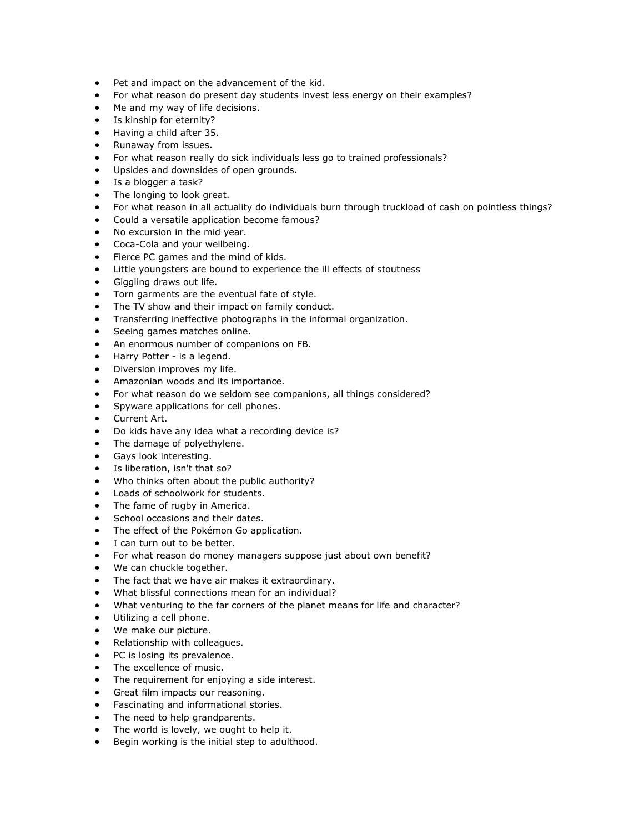- Pet and impact on the advancement of the kid.
- For what reason do present day students invest less energy on their examples?
- Me and my way of life decisions.
- Is kinship for eternity?
- Having a child after 35.
- Runaway from issues.
- For what reason really do sick individuals less go to trained professionals?
- Upsides and downsides of open grounds.
- Is a blogger a task?
- The longing to look great.
- For what reason in all actuality do individuals burn through truckload of cash on pointless things?
- Could a versatile application become famous?
- No excursion in the mid year.
- Coca-Cola and your wellbeing.
- Fierce PC games and the mind of kids.
- Little youngsters are bound to experience the ill effects of stoutness
- Giggling draws out life.
- Torn garments are the eventual fate of style.
- The TV show and their impact on family conduct.
- Transferring ineffective photographs in the informal organization.
- Seeing games matches online.
- An enormous number of companions on FB.
- Harry Potter is a legend.
- Diversion improves my life.
- Amazonian woods and its importance.
- For what reason do we seldom see companions, all things considered?
- Spyware applications for cell phones.
- Current Art.
- Do kids have any idea what a recording device is?
- The damage of polyethylene.
- Gays look interesting.
- Is liberation, isn't that so?
- Who thinks often about the public authority?
- Loads of schoolwork for students.
- The fame of rugby in America.
- School occasions and their dates.
- The effect of the Pokémon Go application.
- I can turn out to be better.
- For what reason do money managers suppose just about own benefit?
- We can chuckle together.
- The fact that we have air makes it extraordinary.
- What blissful connections mean for an individual?
- What venturing to the far corners of the planet means for life and character?
- Utilizing a cell phone.
- We make our picture.
- Relationship with colleagues.
- PC is losing its prevalence.
- The excellence of music.
- The requirement for enjoying a side interest.
- Great film impacts our reasoning.
- Fascinating and informational stories.
- The need to help grandparents.
- The world is lovely, we ought to help it.
- Begin working is the initial step to adulthood.